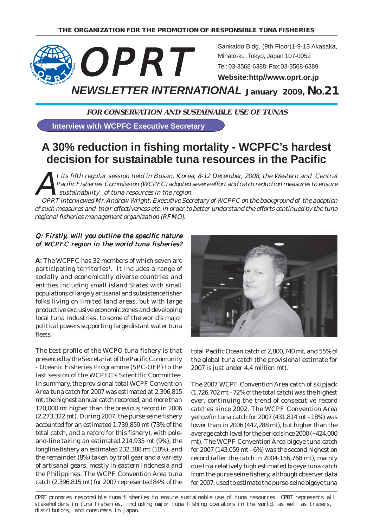

**FOR CONSERVATION AND SUSTAINABLE USE OF TUNAS**

**Interview with WCPFC Executive Secretary**

# **A 30% reduction in fishing mortality - WCPFC's hardest decision for sustainable tuna resources in the Pacific**

t its fifth regular session held in Busan, Korea, 8-12 December, 2008, the Western and Central Pacific Fisheries Commission (WCPFC) adopted severe effort and catch reduction measures to ensure sustainability of tuna resources in the region.

OPRT interviewed Mr. Andrew Wright, Executive Secretary of WCPFC on the background of the adoption of such measures and their effectiveness etc. in order to better understand the efforts continued by the tuna regional fisheries management organization (RFMO).

# Q: Firstly, will you outline the specific nature of WCPFC region in the world tuna fisheries?

A: The WCPFC has 32 members of which seven are participating territories<sup>1</sup>. It includes a range of socially and economically diverse countries and entities including small island States with small populations of largely artisanal and subsistence fisher folks living on limited land areas, but with large productive exclusive economic zones and developing local tuna industries, to some of the world's major political powers supporting large distant water tuna fleets.

The best profile of the WCPO tuna fishery is that presented by the Secretariat of the Pacific Community - Oceanic Fisheries Programme (SPC-OFP) to the last session of the WCPFC's Scientific Committee. In summary, the provisional total WCPF Convention Area tuna catch for 2007 was estimated at 2,396,815 mt, the highest annual catch recorded, and more than 120,000 mt higher than the previous record in 2006 (2,273,322 mt). During 2007, the purse seine fishery accounted for an estimated 1,739,859 mt (73% of the total catch, and a record for this fishery), with poleand-line taking an estimated 214,935 mt (9%), the longline fishery an estimated 232,388 mt (10%), and the remainder (8%) taken by troll gear and a variety of artisanal gears, mostly in eastern Indonesia and the Philippines. The WCPF Convention Area tuna catch (2,396,815 mt) for 2007 represented 84% of the



total Pacific Ocean catch of 2,800,740 mt, and 55% of the global tuna catch (the provisional estimate for 2007 is just under 4.4 million mt).

The 2007 WCPF Convention Area catch of skipjack (1,726,702 mt - 72% of the total catch) was the highest ever, continuing the trend of consecutive record catches since 2002. The WCPF Convention Area yellowfin tuna catch for 2007 (431,814 mt - 18%) was lower than in 2006 (442,288 mt), but higher than the average catch level for the period since 2000 (~424,000 mt). The WCPF Convention Area bigeye tuna catch for 2007 (143,059 mt - 6%) was the second highest on record (after the catch in 2004-156,768 mt), mainly due to a relatively high estimated bigeye tuna catch from the purse seine fishery, although observer data for 2007, used to estimate the purse-seine bigeye tuna

OPRT promotes responsible tuna fisheries to ensure sustainable use of tuna resources. OPRT represents all stakeholders in tuna fisheries, including major tuna fishing operators in the world, as well as traders, distributors, and consumers in Japan.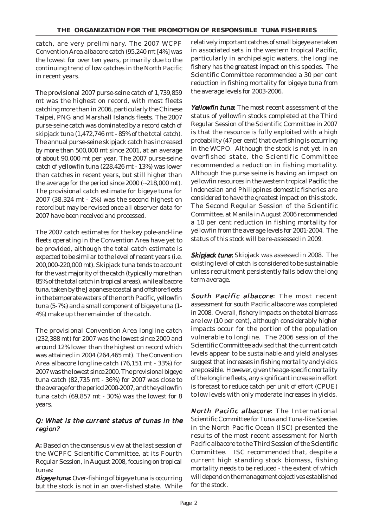catch, are very preliminary. The 2007 WCPF Convention Area albacore catch (95,240 mt [4%] was the lowest for over ten years, primarily due to the continuing trend of low catches in the North Pacific in recent years.

The provisional 2007 purse-seine catch of 1,739,859 mt was the highest on record, with most fleets catching more than in 2006, particularly the Chinese Taipei, PNG and Marshall Islands fleets. The 2007 purse-seine catch was dominated by a record catch of skipjack tuna (1,472,746 mt - 85% of the total catch). The annual purse-seine skipjack catch has increased by more than 500,000 mt since 2001, at an average of about 90,000 mt per year. The 2007 purse-seine catch of yellowfin tuna (228,426 mt - 13%) was lower than catches in recent years, but still higher than the average for the period since 2000 (~218,000 mt). The provisional catch estimate for bigeye tuna for 2007 (38,324 mt - 2%) was the second highest on record but may be revised once all observer data for 2007 have been received and processed.

The 2007 catch estimates for the key pole-and-line fleets operating in the Convention Area have yet to be provided, although the total catch estimate is expected to be similar to the level of recent years (i.e. 200,000-220,000 mt). Skipjack tuna tends to account for the vast majority of the catch (typically more than 85% of the total catch in tropical areas), while albacore tuna, taken by the Japanese coastal and offshore fleets in the temperate waters of the north Pacific, yellowfin tuna (5-7%) and a small component of bigeye tuna (1- 4%) make up the remainder of the catch.

The provisional Convention Area longline catch (232,388 mt) for 2007 was the lowest since 2000 and around 12% lower than the highest on record which was attained in 2004 (264,465 mt). The Convention Area albacore longline catch (76,151 mt - 33%) for 2007 was the lowest since 2000. The provisional bigeye tuna catch (82,735 mt - 36%) for 2007 was close to the average for the period 2000-2007, and the yellowfin tuna catch (69,857 mt - 30%) was the lowest for 8 years.

#### Q: What is the current status of tunas in the region?

A: Based on the consensus view at the last session of the WCPFC Scientific Committee, at its Fourth Regular Session, in August 2008, focusing on tropical tunas:

**Bigeye tuna:** Over-fishing of bigeye tuna is occurring but the stock is not in an over-fished state. While

relatively important catches of small bigeye are taken in associated sets in the western tropical Pacific, particularly in archipelagic waters, the longline fishery has the greatest impact on this species. The Scientific Committee recommended a 30 per cent reduction in fishing mortality for bigeye tuna from the average levels for 2003-2006.

Yellowfin tuna: The most recent assessment of the status of yellowfin stocks completed at the Third Regular Session of the Scientific Committee in 2007 is that the resource is fully exploited with a high probability (47 per cent) that overfishing is occurring in the WCPO. Although the stock is not yet in an overfished state, the Scientific Committee recommended a reduction in fishing mortality. Although the purse seine is having an impact on yellowfin resources in the western tropical Pacific the Indonesian and Philippines domestic fisheries are considered to have the greatest impact on this stock. The Second Regular Session of the Scientific Committee, at Manila in August 2006 recommended a 10 per cent reduction in fishing mortality for yellowfin from the average levels for 2001-2004. The status of this stock will be re-assessed in 2009.

Skipjack tuna: Skipjack was assessed in 2008. The existing level of catch is considered to be sustainable unless recruitment persistently falls below the long term average.

South Pacific albacore: The most recent assessment for south Pacific albacore was completed in 2008. Overall, fishery impacts on the total biomass are low (10 per cent), although considerably higher impacts occur for the portion of the population vulnerable to longline. The 2006 session of the Scientific Committee advised that the current catch levels appear to be sustainable and yield analyses suggest that increases in fishing mortality and yields are possible. However, given the age-specific mortality of the longline fleets, any significant increase in effort is forecast to reduce catch per unit of effort (CPUE) to low levels with only moderate increases in yields.

North Pacific albacore: The International Scientific Committee for Tuna and Tuna-like Species in the North Pacific Ocean (ISC) presented the results of the most recent assessment for North Pacific albacore to the Third Session of the Scientific Committee. ISC recommended that, despite a current high standing stock biomass, fishing mortality needs to be reduced - the extent of which will depend on the management objectives established for the stock.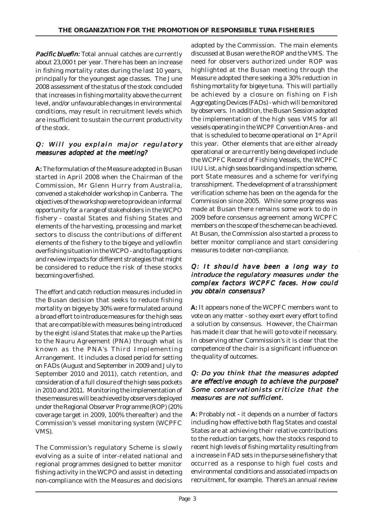**Pacific bluefin:** Total annual catches are currently about 23,000 t per year. There has been an increase in fishing mortality rates during the last 10 years, principally for the youngest age classes. The June 2008 assessment of the status of the stock concluded that increases in fishing mortality above the current level, and/or unfavourable changes in environmental conditions, may result in recruitment levels which are insufficient to sustain the current productivity of the stock.

# Q: Will you explain major regulatory measures adopted at the meeting?

A: The formulation of the Measure adopted in Busan started in April 2008 when the Chairman of the Commission, Mr Glenn Hurry from Australia, convened a stakeholder workshop in Canberra. The objectives of the workshop were to provide an informal opportunity for a range of stakeholders in the WCPO fishery - coastal States and fishing States and elements of the harvesting, processing and market sectors to discuss the contributions of different elements of the fishery to the bigeye and yellowfin overfishing situation in the WCPO - and to flag options and review impacts for different strategies that might be considered to reduce the risk of these stocks becoming overfished.

The effort and catch reduction measures included in the Busan decision that seeks to reduce fishing mortality on bigeye by 30% were formulated around a broad effort to introduce measures for the high seas that are compatible with measures being introduced by the eight island States that make up the Parties to the Nauru Agreement (PNA) through what is known as the PNA's Third Implementing Arrangement. It includes a closed period for setting on FADs (August and September in 2009 and July to September 2010 and 2011), catch retention, and consideration of a full closure of the high seas pockets in 2010 and 2011. Monitoring the implementation of these measures will be achieved by observers deployed under the Regional Observer Programme (ROP) (20% coverage target in 2009, 100% thereafter) and the Commission's vessel monitoring system (WCPFC VMS).

The Commission's regulatory Scheme is slowly evolving as a suite of inter-related national and regional programmes designed to better monitor fishing activity in the WCPO and assist in detecting non-compliance with the Measures and decisions adopted by the Commission. The main elements discussed at Busan were the ROP and the VMS. The need for observers authorized under ROP was highlighted at the Busan meeting through the Measure adopted there seeking a 30% reduction in fishing mortality for bigeye tuna. This will partially be achieved by a closure on fishing on Fish Aggregating Devices (FADs) - which will be monitored by observers. In addition, the Busan Session adopted the implementation of the high seas VMS for all vessels operating in the WCPF Convention Area - and that is scheduled to become operational on 1st April this year. Other elements that are either already operational or are currently being developed include the WCPFC Record of Fishing Vessels, the WCPFC IUU List, a high seas boarding and inspection scheme, port State measures and a scheme for verifying transshipment. The development of a transshipment verification scheme has been on the agenda for the Commission since 2005. While some progress was made at Busan there remains some work to do in 2009 before consensus agreement among WCPFC members on the scope of the scheme can be achieved. At Busan, the Commission also started a process to better monitor compliance and start considering measures to deter non-compliance.

#### Q: It should have been a long way to introduce the regulatory measures under the complex factors WCPFC faces. How could you obtain consensus?

A: It appears none of the WCPFC members want to vote on any matter - so they exert every effort to find a solution by consensus. However, the Chairman has made it clear that he will go to vote if necessary. In observing other Commission's it is clear that the competence of the chair is a significant influence on the quality of outcomes.

# Q: Do you think that the measures adopted are effective enough to achieve the purpose? Some conservationists criticize that the measures are not sufficient.

A: Probably not - it depends on a number of factors including how effective both flag States and coastal States are at achieving their relative contributions to the reduction targets, how the stocks respond to recent high levels of fishing mortality resulting from a increase in FAD sets in the purse seine fishery that occurred as a response to high fuel costs and environmental conditions and associated impacts on recruitment, for example. There's an annual review